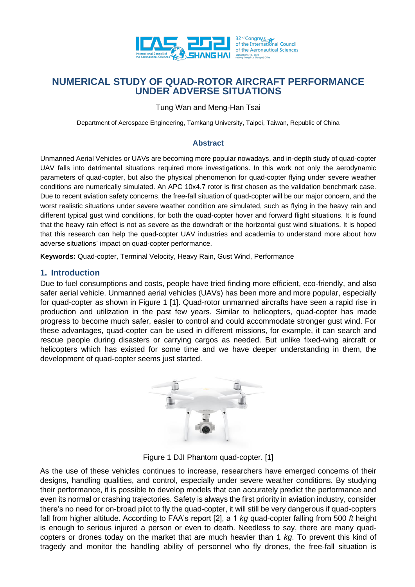

Tung Wan and Meng-Han Tsai

Department of Aerospace Engineering, Tamkang University, Taipei, Taiwan, Republic of China

## **Abstract**

Unmanned Aerial Vehicles or UAVs are becoming more popular nowadays, and in-depth study of quad-copter UAV falls into detrimental situations required more investigations. In this work not only the aerodynamic parameters of quad-copter, but also the physical phenomenon for quad-copter flying under severe weather conditions are numerically simulated. An APC 10x4.7 rotor is first chosen as the validation benchmark case. Due to recent aviation safety concerns, the free-fall situation of quad-copter will be our major concern, and the worst realistic situations under severe weather condition are simulated, such as flying in the heavy rain and different typical gust wind conditions, for both the quad-copter hover and forward flight situations. It is found that the heavy rain effect is not as severe as the downdraft or the horizontal gust wind situations. It is hoped that this research can help the quad-copter UAV industries and academia to understand more about how adverse situations' impact on quad-copter performance.

**Keywords:** Quad-copter, Terminal Velocity, Heavy Rain, Gust Wind, Performance

## **1. Introduction**

Due to fuel consumptions and costs, people have tried finding more efficient, eco-friendly, and also safer aerial vehicle. Unmanned aerial vehicles (UAVs) has been more and more popular, especially for quad-copter as shown in Figure 1 [1]. Quad-rotor unmanned aircrafts have seen a rapid rise in production and utilization in the past few years. Similar to helicopters, quad-copter has made progress to become much safer, easier to control and could accommodate stronger gust wind. For these advantages, quad-copter can be used in different missions, for example, it can search and rescue people during disasters or carrying cargos as needed. But unlike fixed-wing aircraft or helicopters which has existed for some time and we have deeper understanding in them, the development of quad-copter seems just started.



Figure 1 DJI Phantom quad-copter. [1]

As the use of these vehicles continues to increase, researchers have emerged concerns of their designs, handling qualities, and control, especially under severe weather conditions. By studying their performance, it is possible to develop models that can accurately predict the performance and even its normal or crashing trajectories. Safety is always the first priority in aviation industry, consider there's no need for on-broad pilot to fly the quad-copter, it will still be very dangerous if quad-copters fall from higher altitude. According to FAA's report [2], a 1 *kg* quad-copter falling from 500 *ft* height is enough to serious injured a person or even to death. Needless to say, there are many quadcopters or drones today on the market that are much heavier than 1 *kg*. To prevent this kind of tragedy and monitor the handling ability of personnel who fly drones, the free-fall situation is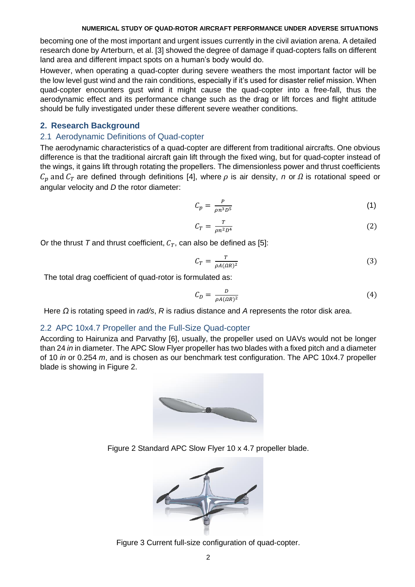becoming one of the most important and urgent issues currently in the civil aviation arena. A detailed research done by Arterburn, et al. [3] showed the degree of damage if quad-copters falls on different land area and different impact spots on a human's body would do.

However, when operating a quad-copter during severe weathers the most important factor will be the low level gust wind and the rain conditions, especially if it's used for disaster relief mission. When quad-copter encounters gust wind it might cause the quad-copter into a free-fall, thus the aerodynamic effect and its performance change such as the drag or lift forces and flight attitude should be fully investigated under these different severe weather conditions.

## **2. Research Background**

## 2.1 Aerodynamic Definitions of Quad-copter

The aerodynamic characteristics of a quad-copter are different from traditional aircrafts. One obvious difference is that the traditional aircraft gain lift through the fixed wing, but for quad-copter instead of the wings, it gains lift through rotating the propellers. The dimensionless power and thrust coefficients  $C_n$  and  $C_T$  are defined through definitions [4], where  $\rho$  is air density, *n* or  $\Omega$  is rotational speed or angular velocity and *D* the rotor diameter:

$$
C_p = \frac{P}{\rho n^3 D^5} \tag{1}
$$

$$
C_T = \frac{T}{\rho n^2 D^4} \tag{2}
$$

Or the thrust *T* and thrust coefficient,  $C_T$ , can also be defined as [5]:

$$
C_T = \frac{T}{\rho A(\Omega R)^2} \tag{3}
$$

The total drag coefficient of quad-rotor is formulated as:

$$
C_D = \frac{D}{\rho A(\Omega R)^2} \tag{4}
$$

Here *Ω* is rotating speed in *rad/s*, *R* is radius distance and *A* represents the rotor disk area.

## 2.2 APC 10x4.7 Propeller and the Full-Size Quad-copter

According to Hairuniza and Parvathy [6], usually, the propeller used on UAVs would not be longer than 24 *in* in diameter. The APC Slow Flyer propeller has two blades with a fixed pitch and a diameter of 10 *in* or 0.254 *m*, and is chosen as our benchmark test configuration. The APC 10x4.7 propeller blade is showing in Figure 2.



Figure 2 Standard APC Slow Flyer 10 x 4.7 propeller blade.



Figure 3 Current full-size configuration of quad-copter.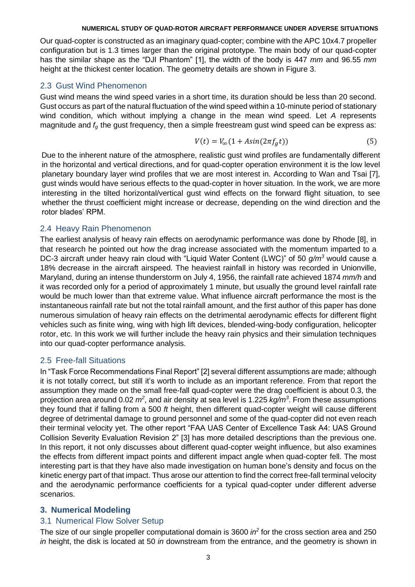Our quad-copter is constructed as an imaginary quad-copter; combine with the APC 10x4.7 propeller configuration but is 1.3 times larger than the original prototype. The main body of our quad-copter has the similar shape as the "DJI Phantom" [1], the width of the body is 447 *mm* and 96.55 *mm* height at the thickest center location. The geometry details are shown in Figure 3.

## 2.3 Gust Wind Phenomenon

Gust wind means the wind speed varies in a short time, its duration should be less than 20 second. Gust occurs as part of the natural fluctuation of the wind speed within a 10-minute period of stationary wind condition, which without implying a change in the mean wind speed. Let *A* represents magnitude and *f<sup>g</sup>* the gust frequency, then a simple freestream gust wind speed can be express as:

$$
V(t) = V_{\infty}(1 + Asin(2\pi f_g t))
$$
\n<sup>(5)</sup>

Due to the inherent nature of the atmosphere, realistic gust wind profiles are fundamentally different in the horizontal and vertical directions, and for quad-copter operation environment it is the low level planetary boundary layer wind profiles that we are most interest in. According to Wan and Tsai [7], gust winds would have serious effects to the quad-copter in hover situation. In the work, we are more interesting in the tilted horizontal/vertical gust wind effects on the forward flight situation, to see whether the thrust coefficient might increase or decrease, depending on the wind direction and the rotor blades' RPM.

## 2.4 Heavy Rain Phenomenon

The earliest analysis of heavy rain effects on aerodynamic performance was done by Rhode [8], in that research he pointed out how the drag increase associated with the momentum imparted to a DC-3 aircraft under heavy rain cloud with "Liquid Water Content (LWC)" of 50 *g/m<sup>3</sup>* would cause a 18% decrease in the aircraft airspeed. The heaviest rainfall in history was recorded in Unionville, Maryland, during an intense thunderstorm on July 4, 1956, the rainfall rate achieved 1874 *mm/h* and it was recorded only for a period of approximately 1 minute, but usually the ground level rainfall rate would be much lower than that extreme value. What influence aircraft performance the most is the instantaneous rainfall rate but not the total rainfall amount, and the first author of this paper has done numerous simulation of heavy rain effects on the detrimental aerodynamic effects for different flight vehicles such as finite wing, wing with high lift devices, blended-wing-body configuration, helicopter rotor, etc. In this work we will further include the heavy rain physics and their simulation techniques into our quad-copter performance analysis.

# 2.5 Free-fall Situations

In "Task Force Recommendations Final Report" [2] several different assumptions are made; although it is not totally correct, but still it's worth to include as an important reference. From that report the assumption they made on the small free-fall quad-copter were the drag coefficient is about 0.3, the projection area around 0.02 *m<sup>2</sup>* , and air density at sea level is 1.225 *kg/m<sup>3</sup>* . From these assumptions they found that if falling from a 500 *ft* height, then different quad-copter weight will cause different degree of detrimental damage to ground personnel and some of the quad-copter did not even reach their terminal velocity yet. The other report "FAA UAS Center of Excellence Task A4: UAS Ground Collision Severity Evaluation Revision 2" [3] has more detailed descriptions than the previous one. In this report, it not only discusses about different quad-copter weight influence, but also examines the effects from different impact points and different impact angle when quad-copter fell. The most interesting part is that they have also made investigation on human bone's density and focus on the kinetic energy part of that impact. Thus arose our attention to find the correct free-fall terminal velocity and the aerodynamic performance coefficients for a typical quad-copter under different adverse scenarios.

## **3. Numerical Modeling**

## 3.1 Numerical Flow Solver Setup

The size of our single propeller computational domain is 3600 *in<sup>2</sup>* for the cross section area and 250 *in* height, the disk is located at 50 *in* downstream from the entrance, and the geometry is shown in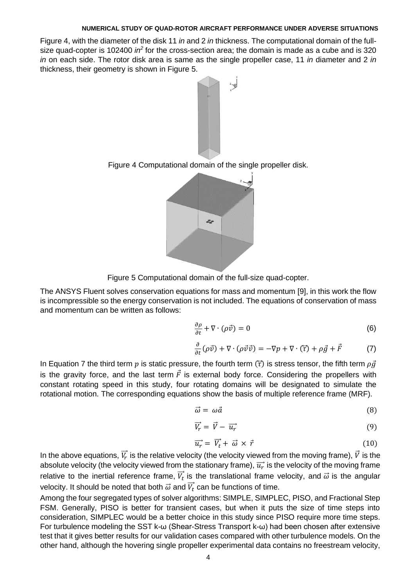Figure 4, with the diameter of the disk 11 *in* and 2 *in* thickness. The computational domain of the fullsize quad-copter is 102400 *in*<sup>2</sup> for the cross-section area; the domain is made as a cube and is 320 *in* on each side. The rotor disk area is same as the single propeller case, 11 *in* diameter and 2 *in*  thickness, their geometry is shown in Figure 5.



Figure 4 Computational domain of the single propeller disk.



Figure 5 Computational domain of the full-size quad-copter.

The ANSYS Fluent solves conservation equations for mass and momentum [9], in this work the flow is incompressible so the energy conservation is not included. The equations of conservation of mass and momentum can be written as follows:

$$
\frac{\partial \rho}{\partial t} + \nabla \cdot (\rho \vec{v}) = 0 \tag{6}
$$

$$
\frac{\partial}{\partial t}(\rho \vec{v}) + \nabla \cdot (\rho \vec{v} \vec{v}) = -\nabla p + \nabla \cdot (\vec{\tau}) + \rho \vec{g} + \vec{F}
$$
 (7)

In Equation 7 the third term p is static pressure, the fourth term  $(\vec{\tau})$  is stress tensor, the fifth term  $\rho \vec{g}$ is the gravity force, and the last term  $\vec{F}$  is external body force. Considering the propellers with constant rotating speed in this study, four rotating domains will be designated to simulate the rotational motion. The corresponding equations show the basis of multiple reference frame (MRF).

$$
\vec{\omega} = \omega \vec{a} \tag{8}
$$

$$
\vec{V}_r = \vec{V} - \vec{u}_r \tag{9}
$$

$$
\overrightarrow{u_r} = \overrightarrow{V_t} + \overrightarrow{\omega} \times \overrightarrow{r}
$$
 (10)

In the above equations,  $\vec{V_r}$  is the relative velocity (the velocity viewed from the moving frame),  $\vec{V}$  is the absolute velocity (the velocity viewed from the stationary frame),  $\overrightarrow{u_r}$  is the velocity of the moving frame relative to the inertial reference frame,  $\vec{V}_t$  is the translational frame velocity, and  $\vec{\omega}$  is the angular velocity. It should be noted that both  $\vec{\omega}$  and  $\overrightarrow{V_t}$  can be functions of time.

Among the four segregated types of solver algorithms: SIMPLE, SIMPLEC, PISO, and Fractional Step FSM. Generally, PISO is better for transient cases, but when it puts the size of time steps into consideration, SIMPLEC would be a better choice in this study since PISO require more time steps. For turbulence modeling the SST k-ω (Shear-Stress Transport k-ω) had been chosen after extensive test that it gives better results for our validation cases compared with other turbulence models. On the other hand, although the hovering single propeller experimental data contains no freestream velocity,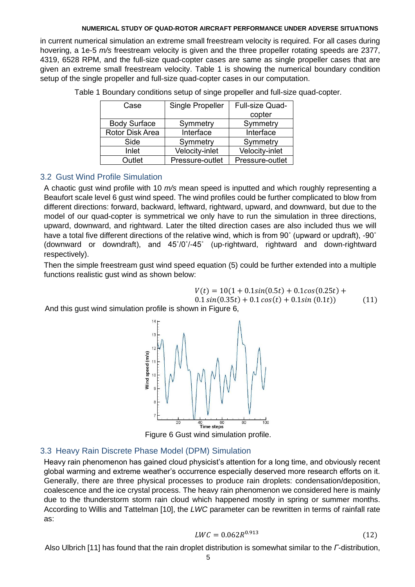in current numerical simulation an extreme small freestream velocity is required. For all cases during hovering, a 1e-5 *m/s* freestream velocity is given and the three propeller rotating speeds are 2377, 4319, 6528 RPM, and the full-size quad-copter cases are same as single propeller cases that are given an extreme small freestream velocity. Table 1 is showing the numerical boundary condition setup of the single propeller and full-size quad-copter cases in our computation.

| Case                | <b>Single Propeller</b> | Full-size Quad- |
|---------------------|-------------------------|-----------------|
|                     |                         | copter          |
| <b>Body Surface</b> | Symmetry                | Symmetry        |
| Rotor Disk Area     | Interface               | Interface       |
| Side                | Symmetry                | Symmetry        |
| Inlet               | Velocity-inlet          | Velocity-inlet  |
| Outlet              | Pressure-outlet         | Pressure-outlet |

Table 1 Boundary conditions setup of singe propeller and full-size quad-copter.

# 3.2 Gust Wind Profile Simulation

A chaotic gust wind profile with 10 *m/s* mean speed is inputted and which roughly representing a Beaufort scale level 6 gust wind speed. The wind profiles could be further complicated to blow from different directions: forward, backward, leftward, rightward, upward, and downward, but due to the model of our quad-copter is symmetrical we only have to run the simulation in three directions, upward, downward, and rightward. Later the tilted direction cases are also included thus we will have a total five different directions of the relative wind, which is from 90° (upward or updraft), -90° (downward or downdraft), and 45˚/0˚/-45˚ (up-rightward, rightward and down-rightward respectively).

Then the simple freestream gust wind speed equation (5) could be further extended into a multiple functions realistic gust wind as shown below:

$$
V(t) = 10(1 + 0.1sin(0.5t) + 0.1cos(0.25t) +
$$

 $0.1 \sin(0.35t) + 0.1 \cos(t) + 0.1 \sin(0.1t)$  (11)

And this gust wind simulation profile is shown in Figure 6,



Figure 6 Gust wind simulation profile.

## 3.3 Heavy Rain Discrete Phase Model (DPM) Simulation

Heavy rain phenomenon has gained cloud physicist's attention for a long time, and obviously recent global warming and extreme weather's occurrence especially deserved more research efforts on it. Generally, there are three physical processes to produce rain droplets: condensation/deposition, coalescence and the ice crystal process. The heavy rain phenomenon we considered here is mainly due to the thunderstorm storm rain cloud which happened mostly in spring or summer months. According to Willis and Tattelman [10], the *LWC* parameter can be rewritten in terms of rainfall rate as:

$$
LWC = 0.062R^{0.913} \tag{12}
$$

Also Ulbrich [11] has found that the rain droplet distribution is somewhat similar to the *Γ*-distribution,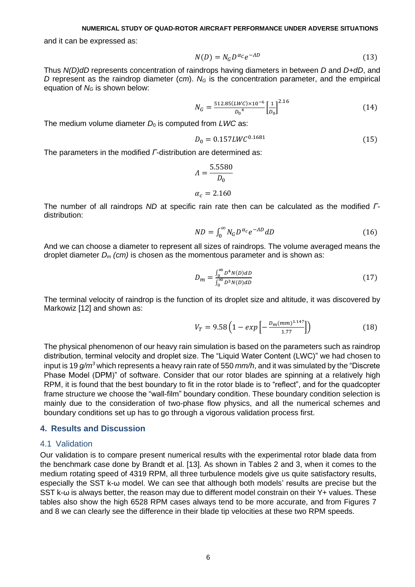and it can be expressed as:

$$
N(D) = N_G D^{\alpha_C} e^{-AD}
$$
\n(13)

Thus *N(D)dD* represents concentration of raindrops having diameters in between *D* and *D+dD*, and *D* represent as the raindrop diameter (*cm*). *N<sup>G</sup>* is the concentration parameter, and the empirical equation of *N<sup>G</sup>* is shown below:

$$
N_G = \frac{512.85(LWC) \times 10^{-6}}{D_0^4} \left[\frac{1}{D_0}\right]^{2.16}
$$
 (14)

The medium volume diameter  $D_0$  is computed from  $LWC$  as:

$$
D_0 = 0.157LWC^{0.1681}
$$
 (15)

The parameters in the modified *Γ*-distribution are determined as:

$$
A = \frac{5.5580}{D_0}
$$

$$
\alpha_c = 2.160
$$

The number of all raindrops *ND* at specific rain rate then can be calculated as the modified *Γ*distribution:

$$
ND = \int_0^\infty N_G D^{\alpha_c} e^{-AD} dD \tag{16}
$$

And we can choose a diameter to represent all sizes of raindrops. The volume averaged means the droplet diameter *D<sup>m</sup> (cm)* is chosen as the momentous parameter and is shown as:

$$
D_m = \frac{\int_0^\infty D^4 N(D) dD}{\int_0^\infty D^3 N(D) dD} \tag{17}
$$

The terminal velocity of raindrop is the function of its droplet size and altitude, it was discovered by Markowiz [12] and shown as:

$$
V_T = 9.58 \left( 1 - exp\left[ -\frac{D_m (mm)^{1.147}}{1.77} \right] \right) \tag{18}
$$

The physical phenomenon of our heavy rain simulation is based on the parameters such as raindrop distribution, terminal velocity and droplet size. The "Liquid Water Content (LWC)" we had chosen to input is 19 *g/m<sup>3</sup>* which represents a heavy rain rate of 550 *mm/h*, and it was simulated by the "Discrete Phase Model (DPM)" of software. Consider that our rotor blades are spinning at a relatively high RPM, it is found that the best boundary to fit in the rotor blade is to "reflect", and for the quadcopter frame structure we choose the "wall-film" boundary condition. These boundary condition selection is mainly due to the consideration of two-phase flow physics, and all the numerical schemes and boundary conditions set up has to go through a vigorous validation process first.

#### **4. Results and Discussion**

#### 4.1 Validation

Our validation is to compare present numerical results with the experimental rotor blade data from the benchmark case done by Brandt et al. [13]. As shown in Tables 2 and 3, when it comes to the medium rotating speed of 4319 RPM, all three turbulence models give us quite satisfactory results, especially the SST k-ω model. We can see that although both models' results are precise but the SST k-ω is always better, the reason may due to different model constrain on their Y+ values. These tables also show the high 6528 RPM cases always tend to be more accurate, and from Figures 7 and 8 we can clearly see the difference in their blade tip velocities at these two RPM speeds.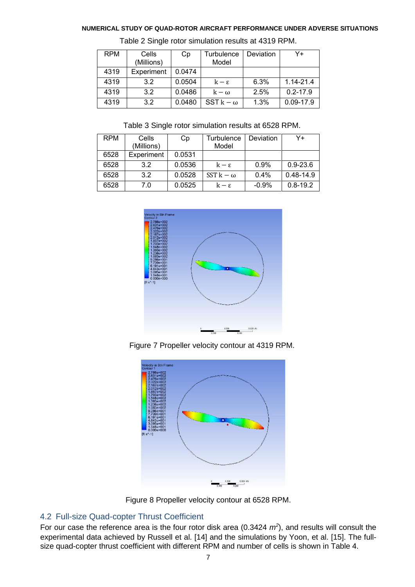| <b>RPM</b> | Cells      | Сp     | <b>Turbulence</b> | Deviation | Y+            |
|------------|------------|--------|-------------------|-----------|---------------|
|            | (Millions) |        | Model             |           |               |
| 4319       | Experiment | 0.0474 |                   |           |               |
| 4319       | 3.2        | 0.0504 | $k - \epsilon$    | 6.3%      | 1.14-21.4     |
| 4319       | 3.2        | 0.0486 | $k - \omega$      | 2.5%      | $0.2 - 17.9$  |
| 4319       | 3.2        | 0.0480 | $SST k - \omega$  | 1.3%      | $0.09 - 17.9$ |

Table 2 Single rotor simulation results at 4319 RPM.

Table 3 Single rotor simulation results at 6528 RPM.

| <b>RPM</b> | Cells<br>(Millions) | Сp     | Turbulence<br>Model | Deviation | Y+            |
|------------|---------------------|--------|---------------------|-----------|---------------|
|            |                     |        |                     |           |               |
| 6528       | Experiment          | 0.0531 |                     |           |               |
| 6528       | 3.2                 | 0.0536 | $k - \epsilon$      | 0.9%      | $0.9 - 23.6$  |
| 6528       | 3.2                 | 0.0528 | $SST k - \omega$    | 0.4%      | $0.48 - 14.9$ |
| 6528       | 7.0                 | 0.0525 | $k - \epsilon$      | $-0.9%$   | $0.8 - 19.2$  |



Figure 7 Propeller velocity contour at 4319 RPM.



Figure 8 Propeller velocity contour at 6528 RPM.

# 4.2 Full-size Quad-copter Thrust Coefficient

For our case the reference area is the four rotor disk area (0.3424  $m^2$ ), and results will consult the experimental data achieved by Russell et al. [14] and the simulations by Yoon, et al. [15]. The fullsize quad-copter thrust coefficient with different RPM and number of cells is shown in Table 4.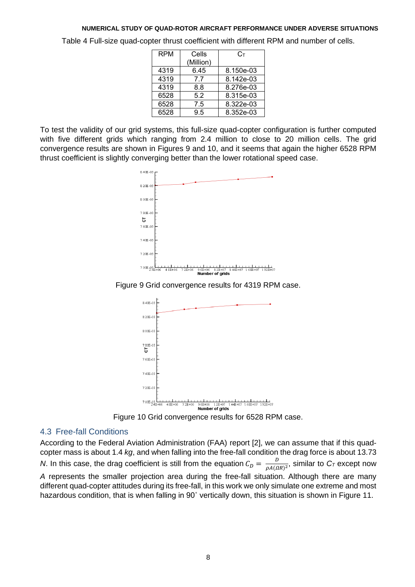Table 4 Full-size quad-copter thrust coefficient with different RPM and number of cells.

| <b>RPM</b> | Cells     | Cт        |
|------------|-----------|-----------|
|            | (Million) |           |
| 4319       | 6.45      | 8.150e-03 |
| 4319       | 7.7       | 8.142e-03 |
| 4319       | 8.8       | 8.276e-03 |
| 6528       | 5.2       | 8.315e-03 |
| 6528       | 7.5       | 8.322e-03 |
| 6528       | 9.5       | 8.352e-03 |

To test the validity of our grid systems, this full-size quad-copter configuration is further computed with five different grids which ranging from 2.4 million to close to 20 million cells. The grid convergence results are shown in Figures 9 and 10, and it seems that again the higher 6528 RPM thrust coefficient is slightly converging better than the lower rotational speed case.







Figure 10 Grid convergence results for 6528 RPM case.

## 4.3 Free-fall Conditions

According to the Federal Aviation Administration (FAA) report [2], we can assume that if this quadcopter mass is about 1.4 *kg*, and when falling into the free-fall condition the drag force is about 13.73 *N*. In this case, the drag coefficient is still from the equation  $C_D = \frac{D}{\rho A}$  $\frac{\nu}{\rho A(\Omega R)^2}$ , similar to  $C_7$  except now *A* represents the smaller projection area during the free-fall situation. Although there are many different quad-copter attitudes during its free-fall, in this work we only simulate one extreme and most hazardous condition, that is when falling in 90˚ vertically down, this situation is shown in Figure 11.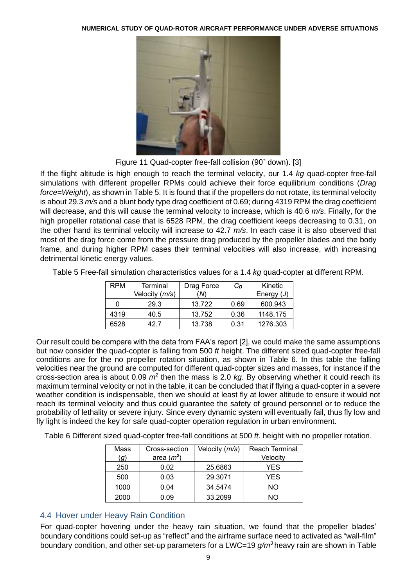

Figure 11 Quad-copter free-fall collision (90˚ down). [3]

If the flight altitude is high enough to reach the terminal velocity, our 1.4 *kg* quad-copter free-fall simulations with different propeller RPMs could achieve their force equilibrium conditions (*Drag force=Weight*), as shown in Table 5. It is found that if the propellers do not rotate, its terminal velocity is about 29.3 *m/s* and a blunt body type drag coefficient of 0.69; during 4319 RPM the drag coefficient will decrease, and this will cause the terminal velocity to increase, which is 40.6 *m/s*. Finally, for the high propeller rotational case that is 6528 RPM, the drag coefficient keeps decreasing to 0.31, on the other hand its terminal velocity will increase to 42.7 *m/s*. In each case it is also observed that most of the drag force come from the pressure drag produced by the propeller blades and the body frame, and during higher RPM cases their terminal velocities will also increase, with increasing detrimental kinetic energy values.

| Table 5 Free-fall simulation characteristics values for a 1.4 kg quad-copter at different RPM. |  |  |
|------------------------------------------------------------------------------------------------|--|--|
|                                                                                                |  |  |

| <b>RPM</b> | Terminal       | Drag Force | Cп   | Kinetic      |
|------------|----------------|------------|------|--------------|
|            | Velocity (m/s) | (N)        |      | Energy $(J)$ |
| 0          | 29.3           | 13.722     | 0.69 | 600.943      |
| 4319       | 40.5           | 13.752     | 0.36 | 1148.175     |
| 6528       | 42 7           | 13.738     | 0.31 | 1276.303     |

Our result could be compare with the data from FAA's report [2], we could make the same assumptions but now consider the quad-copter is falling from 500 *ft* height. The different sized quad-copter free-fall conditions are for the no propeller rotation situation, as shown in Table 6. In this table the falling velocities near the ground are computed for different quad-copter sizes and masses, for instance if the cross-section area is about 0.09 *m<sup>2</sup>* then the mass is 2.0 *kg*. By observing whether it could reach its maximum terminal velocity or not in the table, it can be concluded that if flying a quad-copter in a severe weather condition is indispensable, then we should at least fly at lower altitude to ensure it would not reach its terminal velocity and thus could guarantee the safety of ground personnel or to reduce the probability of lethality or severe injury. Since every dynamic system will eventually fail, thus fly low and fly light is indeed the key for safe quad-copter operation regulation in urban environment.

Table 6 Different sized quad-copter free-fall conditions at 500 *ft*. height with no propeller rotation.

| Mass | Cross-section | Velocity (m/s) | <b>Reach Terminal</b> |
|------|---------------|----------------|-----------------------|
| (g)  | area $(m2)$   |                | Velocity              |
| 250  | 0.02          | 25.6863        | YES                   |
| 500  | 0.03          | 29.3071        | <b>YES</b>            |
| 1000 | 0.04          | 34.5474        | NΟ                    |
| 2000 | 0.09          | 33.2099        | חמ                    |

# 4.4 Hover under Heavy Rain Condition

For quad-copter hovering under the heavy rain situation, we found that the propeller blades' boundary conditions could set-up as "reflect" and the airframe surface need to activated as "wall-film" boundary condition, and other set-up parameters for a LWC=19 *g/m<sup>3</sup>* heavy rain are shown in Table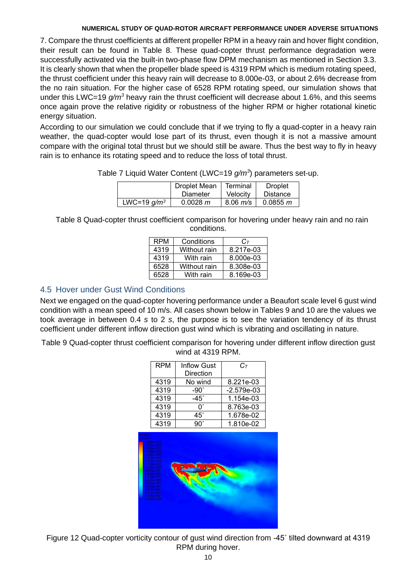7. Compare the thrust coefficients at different propeller RPM in a heavy rain and hover flight condition, their result can be found in Table 8. These quad-copter thrust performance degradation were successfully activated via the built-in two-phase flow DPM mechanism as mentioned in Section 3.3. It is clearly shown that when the propeller blade speed is 4319 RPM which is medium rotating speed, the thrust coefficient under this heavy rain will decrease to 8.000e-03, or about 2.6% decrease from the no rain situation. For the higher case of 6528 RPM rotating speed, our simulation shows that under this LWC=19 *g/m<sup>3</sup>* heavy rain the thrust coefficient will decrease about 1.6%, and this seems once again prove the relative rigidity or robustness of the higher RPM or higher rotational kinetic energy situation.

According to our simulation we could conclude that if we trying to fly a quad-copter in a heavy rain weather, the quad-copter would lose part of its thrust, even though it is not a massive amount compare with the original total thrust but we should still be aware. Thus the best way to fly in heavy rain is to enhance its rotating speed and to reduce the loss of total thrust.

|  |  |  | Table 7 Liquid Water Content (LWC=19 g/m <sup>3</sup> ) parameters set-up. |
|--|--|--|----------------------------------------------------------------------------|
|--|--|--|----------------------------------------------------------------------------|

|                | Droplet Mean | Terminal     | <b>Droplet</b>  |
|----------------|--------------|--------------|-----------------|
|                | Diameter     | Velocity     | <b>Distance</b> |
| LWC=19 $q/m^3$ | 0.0028 m     | $8.06 \ m/s$ | 0.0855 m        |

Table 8 Quad-copter thrust coefficient comparison for hovering under heavy rain and no rain conditions.

| <b>RPM</b> | Conditions   | $C_{\tau}$ |
|------------|--------------|------------|
| 4319       | Without rain | 8.217e-03  |
| 4319       | With rain    | 8.000e-03  |
| 6528       | Without rain | 8.308e-03  |
| 6528       | With rain    | 8.169e-03  |

# 4.5 Hover under Gust Wind Conditions

Next we engaged on the quad-copter hovering performance under a Beaufort scale level 6 gust wind condition with a mean speed of 10 m/s. All cases shown below in Tables 9 and 10 are the values we took average in between 0.4 *s* to 2 *s*, the purpose is to see the variation tendency of its thrust coefficient under different inflow direction gust wind which is vibrating and oscillating in nature.

Table 9 Quad-copter thrust coefficient comparison for hovering under different inflow direction gust wind at 4319 RPM.

| <b>RPM</b> | <b>Inflow Gust</b> | $C_{\tau}$   |
|------------|--------------------|--------------|
|            | Direction          |              |
| 4319       | No wind            | 8.221e-03    |
| 4319       | $-90^\circ$        | $-2.579e-03$ |
| 4319       | -45°               | 1.154e-03    |
| 4319       | n°                 | 8.763e-03    |
| 4319       | 45°                | 1.678e-02    |
| 4319       | g∩°                | 1.810e-02    |



Figure 12 Quad-copter vorticity contour of gust wind direction from -45˚ tilted downward at 4319 RPM during hover.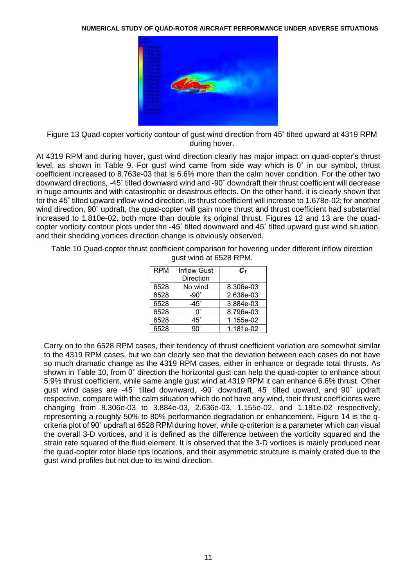

Figure 13 Quad-copter vorticity contour of gust wind direction from 45˚ tilted upward at 4319 RPM during hover.

At 4319 RPM and during hover, gust wind direction clearly has major impact on quad-copter's thrust level, as shown in Table 9. For gust wind came from side way which is 0˚ in our symbol, thrust coefficient increased to 8.763e-03 that is 6.6% more than the calm hover condition. For the other two downward directions, -45˚ tilted downward wind and -90˚ downdraft their thrust coefficient will decrease in huge amounts and with catastrophic or disastrous effects. On the other hand, it is clearly shown that for the 45˚ tilted upward inflow wind direction, its thrust coefficient will increase to 1.678e-02; for another wind direction, 90° updraft, the quad-copter will gain more thrust and thrust coefficient had substantial increased to 1.810e-02, both more than double its original thrust. Figures 12 and 13 are the quadcopter vorticity contour plots under the -45˚ tilted downward and 45˚ tilted upward gust wind situation, and their shedding vortices direction change is obviously observed.

Table 10 Quad-copter thrust coefficient comparison for hovering under different inflow direction gust wind at 6528 RPM.

| <b>RPM</b> | <b>Inflow Gust</b><br>Direction | $\mathsf{C}\tau$ |
|------------|---------------------------------|------------------|
| 6528       | No wind                         | 8.306e-03        |
| 6528       | -90 $^{\circ}$                  | 2.636e-03        |
| 6528       | $-45^\circ$                     | 3.884e-03        |
| 6528       | n°                              | 8.796e-03        |
| 6528       | 45°                             | 1.155e-02        |
| 6528       | ۹U。                             | 1.181e-02        |

Carry on to the 6528 RPM cases, their tendency of thrust coefficient variation are somewhat similar to the 4319 RPM cases, but we can clearly see that the deviation between each cases do not have so much dramatic change as the 4319 RPM cases, either in enhance or degrade total thrusts. As shown in Table 10, from 0˚ direction the horizontal gust can help the quad-copter to enhance about 5.9% thrust coefficient, while same angle gust wind at 4319 RPM it can enhance 6.6% thrust. Other gust wind cases are -45˚ tilted downward, -90˚ downdraft, 45˚ tilted upward, and 90˚ updraft respective, compare with the calm situation which do not have any wind, their thrust coefficients were changing from 8.306e-03 to 3.884e-03, 2.636e-03, 1.155e-02, and 1.181e-02 respectively, representing a roughly 50% to 80% performance degradation or enhancement. Figure 14 is the qcriteria plot of 90˚ updraft at 6528 RPM during hover, while q-criterion is a parameter which can visual the overall 3-D vortices, and it is defined as the difference between the vorticity squared and the strain rate squared of the fluid element. It is observed that the 3-D vortices is mainly produced near the quad-copter rotor blade tips locations, and their asymmetric structure is mainly crated due to the gust wind profiles but not due to its wind direction.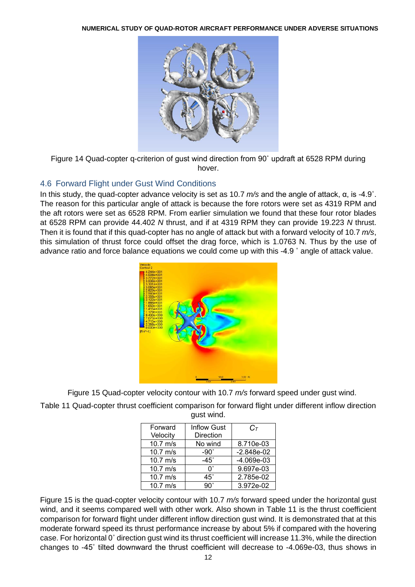

Figure 14 Quad-copter q-criterion of gust wind direction from 90˚ updraft at 6528 RPM during hover.

## 4.6 Forward Flight under Gust Wind Conditions

In this study, the quad-copter advance velocity is set as 10.7 *m/s* and the angle of attack, α, is -4.9˚. The reason for this particular angle of attack is because the fore rotors were set as 4319 RPM and the aft rotors were set as 6528 RPM. From earlier simulation we found that these four rotor blades at 6528 RPM can provide 44.402 *N* thrust, and if at 4319 RPM they can provide 19.223 *N* thrust. Then it is found that if this quad-copter has no angle of attack but with a forward velocity of 10.7 *m/s*, this simulation of thrust force could offset the drag force, which is 1.0763 N. Thus by the use of advance ratio and force balance equations we could come up with this -4.9 ˚ angle of attack value.



Figure 15 Quad-copter velocity contour with 10.7 *m/s* forward speed under gust wind.

Table 11 Quad-copter thrust coefficient comparison for forward flight under different inflow direction gust wind.

| Forward    | <b>Inflow Gust</b> | $C_{\mathcal{T}}$ |
|------------|--------------------|-------------------|
| Velocity   | <b>Direction</b>   |                   |
| $10.7$ m/s | No wind            | 8.710e-03         |
| $10.7$ m/s | -90 $^{\circ}$     | $-2.848e-02$      |
| $10.7$ m/s | $-45^\circ$        | $-4.069e-03$      |
| $10.7$ m/s | ∩°                 | 9.697e-03         |
| $10.7$ m/s | $45^\circ$         | 2.785e-02         |
| $10.7$ m/s | 9U.                | 3.972e-02         |

Figure 15 is the quad-copter velocity contour with 10.7 *m/s* forward speed under the horizontal gust wind, and it seems compared well with other work. Also shown in Table 11 is the thrust coefficient comparison for forward flight under different inflow direction gust wind. It is demonstrated that at this moderate forward speed its thrust performance increase by about 5% if compared with the hovering case. For horizontal 0˚ direction gust wind its thrust coefficient will increase 11.3%, while the direction changes to -45˚ tilted downward the thrust coefficient will decrease to -4.069e-03, thus shows in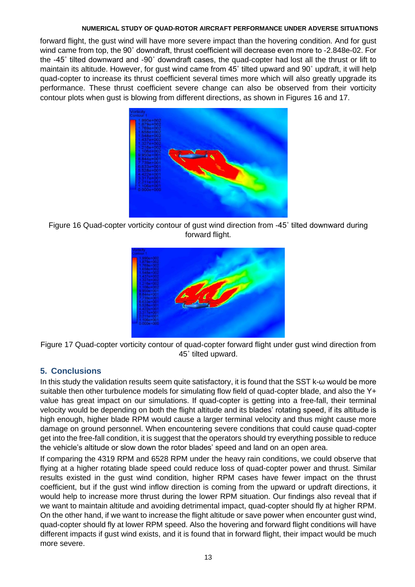forward flight, the gust wind will have more severe impact than the hovering condition. And for gust wind came from top, the 90˚ downdraft, thrust coefficient will decrease even more to -2.848e-02. For the -45˚ tilted downward and -90˚ downdraft cases, the quad-copter had lost all the thrust or lift to maintain its altitude. However, for gust wind came from 45˚ tilted upward and 90˚ updraft, it will help quad-copter to increase its thrust coefficient several times more which will also greatly upgrade its performance. These thrust coefficient severe change can also be observed from their vorticity contour plots when gust is blowing from different directions, as shown in Figures 16 and 17.



Figure 16 Quad-copter vorticity contour of gust wind direction from -45˚ tilted downward during forward flight.





# **5. Conclusions**

In this study the validation results seem quite satisfactory, it is found that the SST k-ω would be more suitable then other turbulence models for simulating flow field of quad-copter blade, and also the Y+ value has great impact on our simulations. If quad-copter is getting into a free-fall, their terminal velocity would be depending on both the flight altitude and its blades' rotating speed, if its altitude is high enough, higher blade RPM would cause a larger terminal velocity and thus might cause more damage on ground personnel. When encountering severe conditions that could cause quad-copter get into the free-fall condition, it is suggest that the operators should try everything possible to reduce the vehicle's altitude or slow down the rotor blades' speed and land on an open area.

If comparing the 4319 RPM and 6528 RPM under the heavy rain conditions, we could observe that flying at a higher rotating blade speed could reduce loss of quad-copter power and thrust. Similar results existed in the gust wind condition, higher RPM cases have fewer impact on the thrust coefficient, but if the gust wind inflow direction is coming from the upward or updraft directions, it would help to increase more thrust during the lower RPM situation. Our findings also reveal that if we want to maintain altitude and avoiding detrimental impact, quad-copter should fly at higher RPM. On the other hand, if we want to increase the flight altitude or save power when encounter gust wind, quad-copter should fly at lower RPM speed. Also the hovering and forward flight conditions will have different impacts if gust wind exists, and it is found that in forward flight, their impact would be much more severe.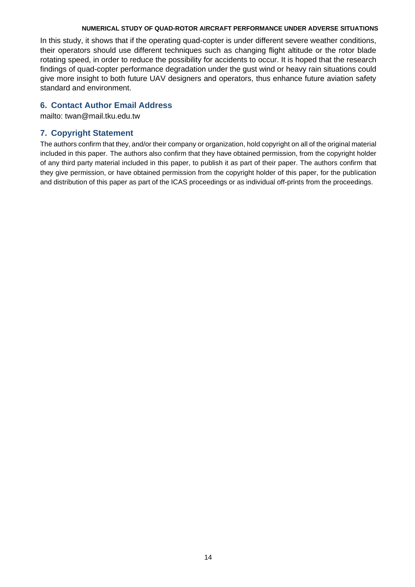In this study, it shows that if the operating quad-copter is under different severe weather conditions, their operators should use different techniques such as changing flight altitude or the rotor blade rotating speed, in order to reduce the possibility for accidents to occur. It is hoped that the research findings of quad-copter performance degradation under the gust wind or heavy rain situations could give more insight to both future UAV designers and operators, thus enhance future aviation safety standard and environment.

# **6. Contact Author Email Address**

mailto: twan@mail.tku.edu.tw

# **7. Copyright Statement**

The authors confirm that they, and/or their company or organization, hold copyright on all of the original material included in this paper. The authors also confirm that they have obtained permission, from the copyright holder of any third party material included in this paper, to publish it as part of their paper. The authors confirm that they give permission, or have obtained permission from the copyright holder of this paper, for the publication and distribution of this paper as part of the ICAS proceedings or as individual off-prints from the proceedings.